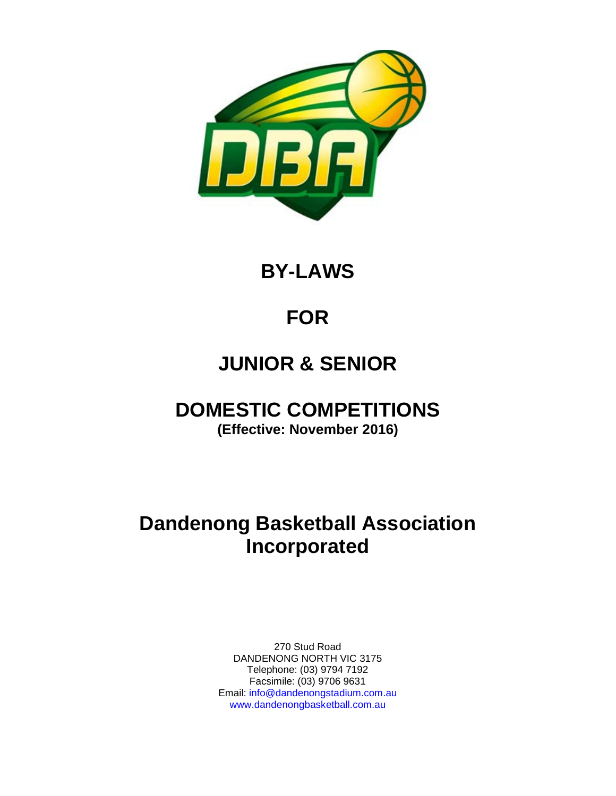

**BY-LAWS**

# **FOR**

# **JUNIOR & SENIOR**

# **DOMESTIC COMPETITIONS**

**(Effective: November 2016)**

# **Dandenong Basketball Association Incorporated**

270 Stud Road DANDENONG NORTH VIC 3175 Telephone: (03) 9794 7192 Facsimile: (03) 9706 9631 Email: info@dandenongstadium.com.au www.dandenongbasketball.com.au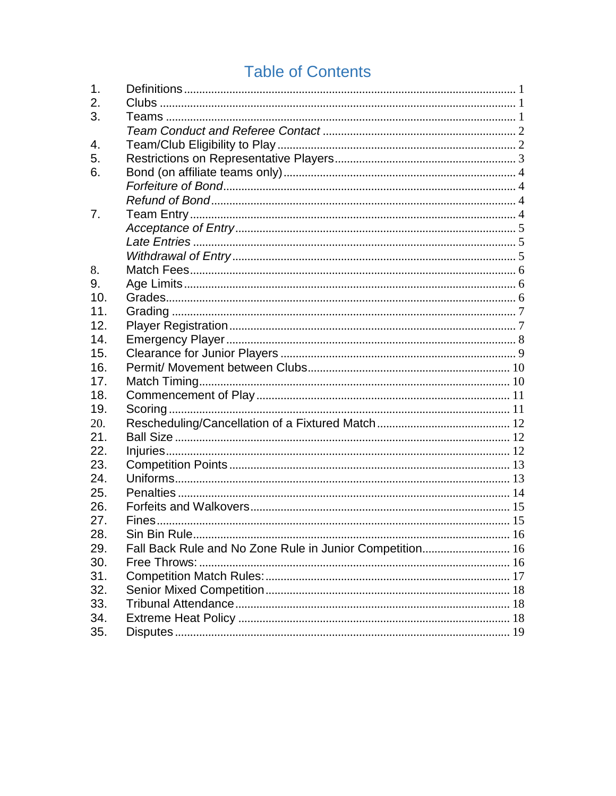# **Table of Contents**

| 1.  |                                                          |  |
|-----|----------------------------------------------------------|--|
| 2.  |                                                          |  |
| 3.  |                                                          |  |
|     |                                                          |  |
| 4.  |                                                          |  |
| 5.  |                                                          |  |
| 6.  |                                                          |  |
|     |                                                          |  |
|     |                                                          |  |
| 7.  |                                                          |  |
|     |                                                          |  |
|     |                                                          |  |
|     |                                                          |  |
| 8.  |                                                          |  |
| 9.  |                                                          |  |
| 10. |                                                          |  |
| 11. |                                                          |  |
| 12. |                                                          |  |
| 14. |                                                          |  |
| 15. |                                                          |  |
| 16. |                                                          |  |
| 17. |                                                          |  |
| 18. |                                                          |  |
| 19. |                                                          |  |
| 20. |                                                          |  |
| 21. |                                                          |  |
| 22. |                                                          |  |
| 23. |                                                          |  |
| 24. |                                                          |  |
| 25. |                                                          |  |
| 26. |                                                          |  |
| 27. |                                                          |  |
| 28. |                                                          |  |
| 29. | Fall Back Rule and No Zone Rule in Junior Competition 16 |  |
| 30. |                                                          |  |
| 31. |                                                          |  |
| 32. |                                                          |  |
| 33. |                                                          |  |
| 34. |                                                          |  |
| 35. |                                                          |  |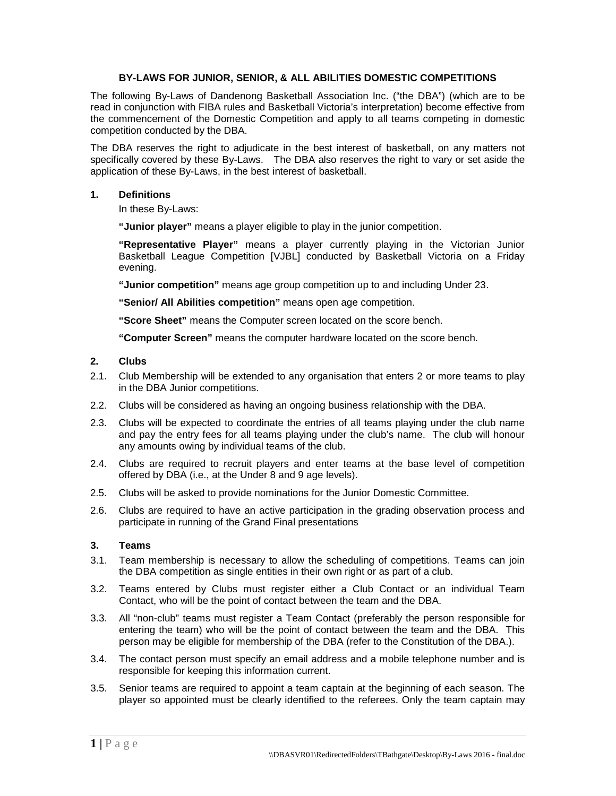# **BY-LAWS FOR JUNIOR, SENIOR, & ALL ABILITIES DOMESTIC COMPETITIONS**

The following By-Laws of Dandenong Basketball Association Inc. ("the DBA") (which are to be read in conjunction with FIBA rules and Basketball Victoria's interpretation) become effective from the commencement of the Domestic Competition and apply to all teams competing in domestic competition conducted by the DBA.

The DBA reserves the right to adjudicate in the best interest of basketball, on any matters not specifically covered by these By-Laws. The DBA also reserves the right to vary or set aside the application of these By-Laws, in the best interest of basketball.

## <span id="page-2-0"></span>**1. Definitions**

In these By-Laws:

**"Junior player"** means a player eligible to play in the junior competition.

**"Representative Player"** means a player currently playing in the Victorian Junior Basketball League Competition [VJBL] conducted by Basketball Victoria on a Friday evening.

**"Junior competition"** means age group competition up to and including Under 23.

**"Senior/ All Abilities competition"** means open age competition.

**"Score Sheet"** means the Computer screen located on the score bench.

**"Computer Screen"** means the computer hardware located on the score bench.

#### <span id="page-2-1"></span>**2. Clubs**

- 2.1. Club Membership will be extended to any organisation that enters 2 or more teams to play in the DBA Junior competitions.
- 2.2. Clubs will be considered as having an ongoing business relationship with the DBA.
- 2.3. Clubs will be expected to coordinate the entries of all teams playing under the club name and pay the entry fees for all teams playing under the club's name. The club will honour any amounts owing by individual teams of the club.
- 2.4. Clubs are required to recruit players and enter teams at the base level of competition offered by DBA (i.e., at the Under 8 and 9 age levels).
- 2.5. Clubs will be asked to provide nominations for the Junior Domestic Committee.
- 2.6. Clubs are required to have an active participation in the grading observation process and participate in running of the Grand Final presentations

# <span id="page-2-2"></span>**3. Teams**

- 3.1. Team membership is necessary to allow the scheduling of competitions. Teams can join the DBA competition as single entities in their own right or as part of a club.
- 3.2. Teams entered by Clubs must register either a Club Contact or an individual Team Contact, who will be the point of contact between the team and the DBA.
- 3.3. All "non-club" teams must register a Team Contact (preferably the person responsible for entering the team) who will be the point of contact between the team and the DBA. This person may be eligible for membership of the DBA (refer to the Constitution of the DBA.).
- 3.4. The contact person must specify an email address and a mobile telephone number and is responsible for keeping this information current.
- 3.5. Senior teams are required to appoint a team captain at the beginning of each season. The player so appointed must be clearly identified to the referees. Only the team captain may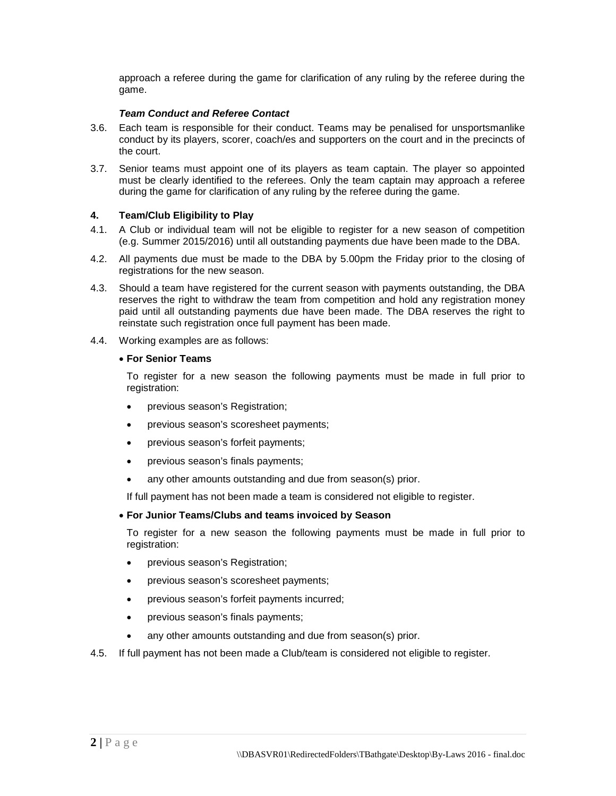approach a referee during the game for clarification of any ruling by the referee during the game.

# *Team Conduct and Referee Contact*

- <span id="page-3-0"></span>3.6. Each team is responsible for their conduct. Teams may be penalised for unsportsmanlike conduct by its players, scorer, coach/es and supporters on the court and in the precincts of the court.
- 3.7. Senior teams must appoint one of its players as team captain. The player so appointed must be clearly identified to the referees. Only the team captain may approach a referee during the game for clarification of any ruling by the referee during the game.

# <span id="page-3-1"></span>**4. Team/Club Eligibility to Play**

- 4.1. A Club or individual team will not be eligible to register for a new season of competition (e.g. Summer 2015/2016) until all outstanding payments due have been made to the DBA.
- 4.2. All payments due must be made to the DBA by 5.00pm the Friday prior to the closing of registrations for the new season.
- 4.3. Should a team have registered for the current season with payments outstanding, the DBA reserves the right to withdraw the team from competition and hold any registration money paid until all outstanding payments due have been made. The DBA reserves the right to reinstate such registration once full payment has been made.
- 4.4. Working examples are as follows:

# • **For Senior Teams**

To register for a new season the following payments must be made in full prior to registration:

- previous season's Registration;
- previous season's scoresheet payments;
- previous season's forfeit payments;
- previous season's finals payments;
- any other amounts outstanding and due from season(s) prior.

If full payment has not been made a team is considered not eligible to register.

# • **For Junior Teams/Clubs and teams invoiced by Season**

To register for a new season the following payments must be made in full prior to registration:

- previous season's Registration;
- previous season's scoresheet payments;
- previous season's forfeit payments incurred;
- previous season's finals payments;
- any other amounts outstanding and due from season(s) prior.
- 4.5. If full payment has not been made a Club/team is considered not eligible to register.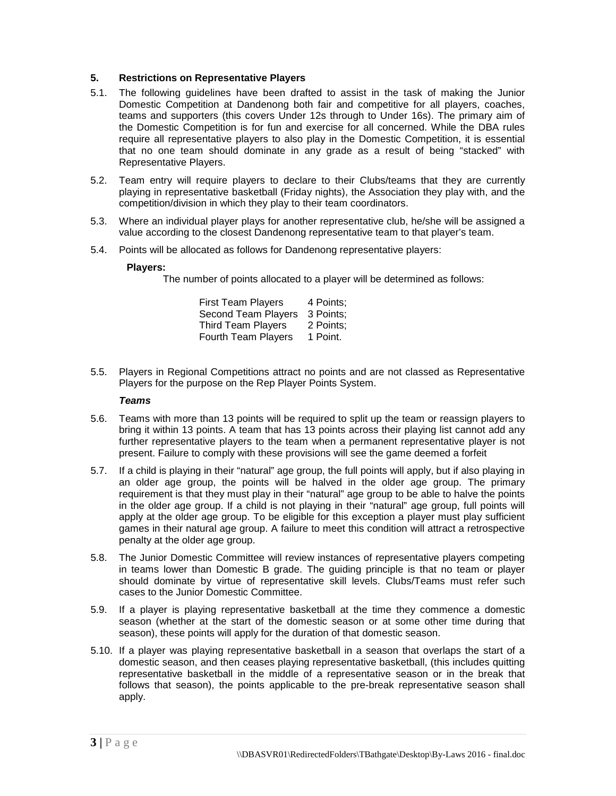# <span id="page-4-0"></span>**5. Restrictions on Representative Players**

- 5.1. The following guidelines have been drafted to assist in the task of making the Junior Domestic Competition at Dandenong both fair and competitive for all players, coaches, teams and supporters (this covers Under 12s through to Under 16s). The primary aim of the Domestic Competition is for fun and exercise for all concerned. While the DBA rules require all representative players to also play in the Domestic Competition, it is essential that no one team should dominate in any grade as a result of being "stacked" with Representative Players.
- 5.2. Team entry will require players to declare to their Clubs/teams that they are currently playing in representative basketball (Friday nights), the Association they play with, and the competition/division in which they play to their team coordinators.
- 5.3. Where an individual player plays for another representative club, he/she will be assigned a value according to the closest Dandenong representative team to that player's team.
- 5.4. Points will be allocated as follows for Dandenong representative players:

# **Players:**

The number of points allocated to a player will be determined as follows:

| <b>First Team Players</b> | 4 Points: |
|---------------------------|-----------|
| Second Team Players       | 3 Points: |
| <b>Third Team Players</b> | 2 Points: |
| Fourth Team Players       | 1 Point.  |

5.5. Players in Regional Competitions attract no points and are not classed as Representative Players for the purpose on the Rep Player Points System.

#### *Teams*

- 5.6. Teams with more than 13 points will be required to split up the team or reassign players to bring it within 13 points. A team that has 13 points across their playing list cannot add any further representative players to the team when a permanent representative player is not present. Failure to comply with these provisions will see the game deemed a forfeit
- 5.7. If a child is playing in their "natural" age group, the full points will apply, but if also playing in an older age group, the points will be halved in the older age group. The primary requirement is that they must play in their "natural" age group to be able to halve the points in the older age group. If a child is not playing in their "natural" age group, full points will apply at the older age group. To be eligible for this exception a player must play sufficient games in their natural age group. A failure to meet this condition will attract a retrospective penalty at the older age group.
- 5.8. The Junior Domestic Committee will review instances of representative players competing in teams lower than Domestic B grade. The guiding principle is that no team or player should dominate by virtue of representative skill levels. Clubs/Teams must refer such cases to the Junior Domestic Committee.
- 5.9. If a player is playing representative basketball at the time they commence a domestic season (whether at the start of the domestic season or at some other time during that season), these points will apply for the duration of that domestic season.
- 5.10. If a player was playing representative basketball in a season that overlaps the start of a domestic season, and then ceases playing representative basketball, (this includes quitting representative basketball in the middle of a representative season or in the break that follows that season), the points applicable to the pre-break representative season shall apply.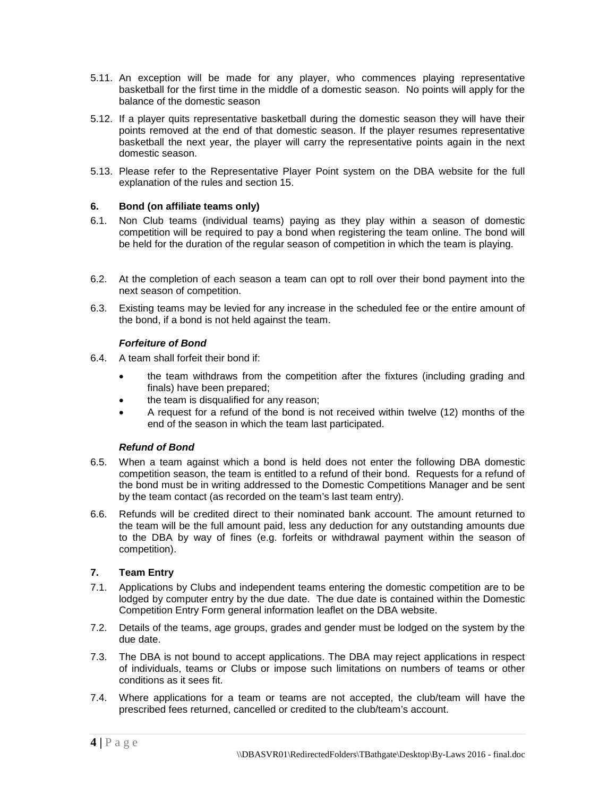- 5.11. An exception will be made for any player, who commences playing representative basketball for the first time in the middle of a domestic season. No points will apply for the balance of the domestic season
- 5.12. If a player quits representative basketball during the domestic season they will have their points removed at the end of that domestic season. If the player resumes representative basketball the next year, the player will carry the representative points again in the next domestic season.
- 5.13. Please refer to the Representative Player Point system on the DBA website for the full explanation of the rules and section 15.

# <span id="page-5-0"></span>**6. Bond (on affiliate teams only)**

- 6.1. Non Club teams (individual teams) paying as they play within a season of domestic competition will be required to pay a bond when registering the team online. The bond will be held for the duration of the regular season of competition in which the team is playing.
- 6.2. At the completion of each season a team can opt to roll over their bond payment into the next season of competition.
- 6.3. Existing teams may be levied for any increase in the scheduled fee or the entire amount of the bond, if a bond is not held against the team.

# *Forfeiture of Bond*

- <span id="page-5-1"></span>6.4. A team shall forfeit their bond if:
	- the team withdraws from the competition after the fixtures (including grading and finals) have been prepared;
	- the team is disqualified for any reason;
	- A request for a refund of the bond is not received within twelve (12) months of the end of the season in which the team last participated.

# *Refund of Bond*

- <span id="page-5-2"></span>6.5. When a team against which a bond is held does not enter the following DBA domestic competition season, the team is entitled to a refund of their bond. Requests for a refund of the bond must be in writing addressed to the Domestic Competitions Manager and be sent by the team contact (as recorded on the team's last team entry).
- 6.6. Refunds will be credited direct to their nominated bank account. The amount returned to the team will be the full amount paid, less any deduction for any outstanding amounts due to the DBA by way of fines (e.g. forfeits or withdrawal payment within the season of competition).

# <span id="page-5-3"></span>**7. Team Entry**

- 7.1. Applications by Clubs and independent teams entering the domestic competition are to be lodged by computer entry by the due date. The due date is contained within the Domestic Competition Entry Form general information leaflet on the DBA website.
- 7.2. Details of the teams, age groups, grades and gender must be lodged on the system by the due date.
- 7.3. The DBA is not bound to accept applications. The DBA may reject applications in respect of individuals, teams or Clubs or impose such limitations on numbers of teams or other conditions as it sees fit.
- 7.4. Where applications for a team or teams are not accepted, the club/team will have the prescribed fees returned, cancelled or credited to the club/team's account.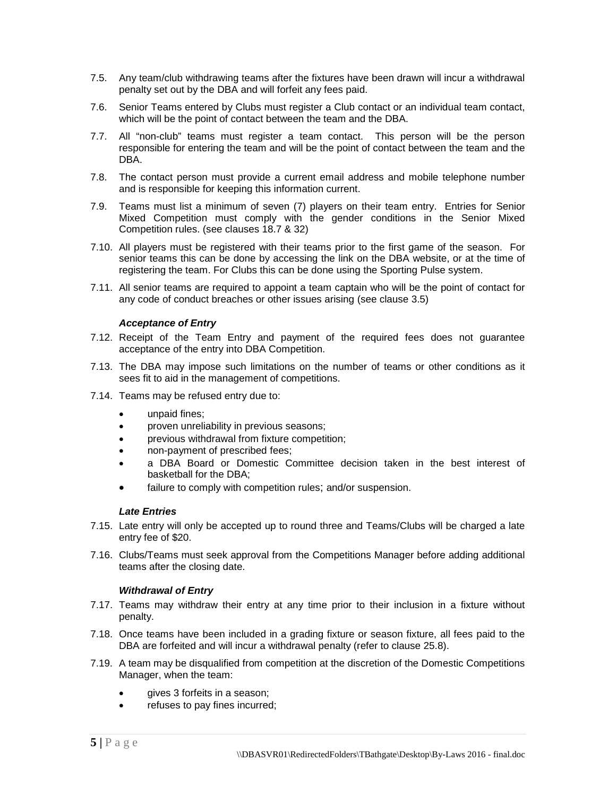- 7.5. Any team/club withdrawing teams after the fixtures have been drawn will incur a withdrawal penalty set out by the DBA and will forfeit any fees paid.
- 7.6. Senior Teams entered by Clubs must register a Club contact or an individual team contact, which will be the point of contact between the team and the DBA.
- 7.7. All "non-club" teams must register a team contact. This person will be the person responsible for entering the team and will be the point of contact between the team and the DBA.
- 7.8. The contact person must provide a current email address and mobile telephone number and is responsible for keeping this information current.
- 7.9. Teams must list a minimum of seven (7) players on their team entry. Entries for Senior Mixed Competition must comply with the gender conditions in the Senior Mixed Competition rules. (see clauses 18.7 & 32)
- 7.10. All players must be registered with their teams prior to the first game of the season. For senior teams this can be done by accessing the link on the DBA website, or at the time of registering the team. For Clubs this can be done using the Sporting Pulse system.
- 7.11. All senior teams are required to appoint a team captain who will be the point of contact for any code of conduct breaches or other issues arising (see clause 3.5)

#### *Acceptance of Entry*

- <span id="page-6-0"></span>7.12. Receipt of the Team Entry and payment of the required fees does not guarantee acceptance of the entry into DBA Competition.
- 7.13. The DBA may impose such limitations on the number of teams or other conditions as it sees fit to aid in the management of competitions.
- 7.14. Teams may be refused entry due to:
	- unpaid fines:
	- proven unreliability in previous seasons;
	- previous withdrawal from fixture competition;
	- non-payment of prescribed fees;
	- a DBA Board or Domestic Committee decision taken in the best interest of basketball for the DBA;
	- failure to comply with competition rules; and/or suspension.

# *Late Entries*

- <span id="page-6-1"></span>7.15. Late entry will only be accepted up to round three and Teams/Clubs will be charged a late entry fee of \$20.
- 7.16. Clubs/Teams must seek approval from the Competitions Manager before adding additional teams after the closing date.

#### *Withdrawal of Entry*

- <span id="page-6-2"></span>7.17. Teams may withdraw their entry at any time prior to their inclusion in a fixture without penalty.
- 7.18. Once teams have been included in a grading fixture or season fixture, all fees paid to the DBA are forfeited and will incur a withdrawal penalty (refer to clause 25.8).
- 7.19. A team may be disqualified from competition at the discretion of the Domestic Competitions Manager, when the team:
	- gives 3 forfeits in a season;
	- refuses to pay fines incurred;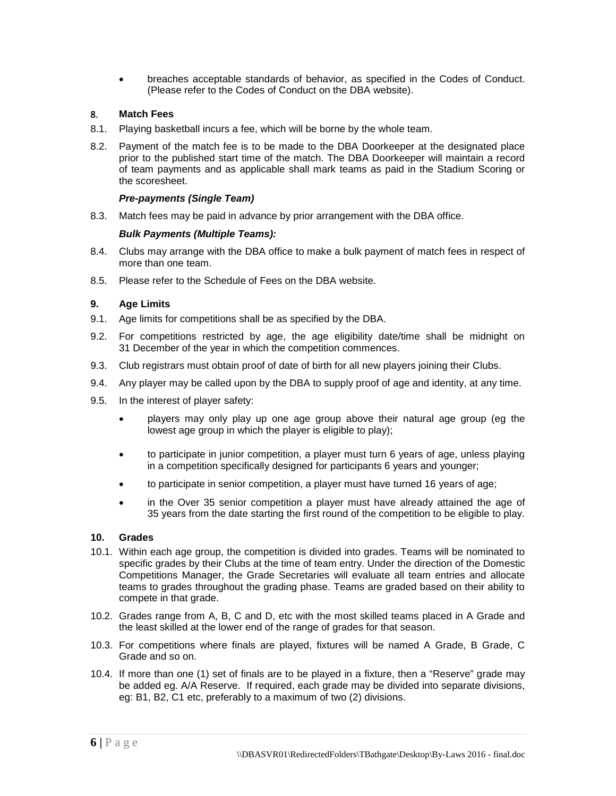• breaches acceptable standards of behavior, as specified in the Codes of Conduct. (Please refer to the Codes of Conduct on the DBA website).

# <span id="page-7-0"></span>8. **Match Fees**

- 8.1. Playing basketball incurs a fee, which will be borne by the whole team.
- 8.2. Payment of the match fee is to be made to the DBA Doorkeeper at the designated place prior to the published start time of the match. The DBA Doorkeeper will maintain a record of team payments and as applicable shall mark teams as paid in the Stadium Scoring or the scoresheet.

#### *Pre-payments (Single Team)*

8.3. Match fees may be paid in advance by prior arrangement with the DBA office.

#### *Bulk Payments (Multiple Teams):*

- 8.4. Clubs may arrange with the DBA office to make a bulk payment of match fees in respect of more than one team.
- 8.5. Please refer to the Schedule of Fees on the DBA website.

# <span id="page-7-1"></span>**9. Age Limits**

- 9.1. Age limits for competitions shall be as specified by the DBA.
- 9.2. For competitions restricted by age, the age eligibility date/time shall be midnight on 31 December of the year in which the competition commences.
- 9.3. Club registrars must obtain proof of date of birth for all new players joining their Clubs.
- 9.4. Any player may be called upon by the DBA to supply proof of age and identity, at any time.
- 9.5. In the interest of player safety:
	- players may only play up one age group above their natural age group (eg the lowest age group in which the player is eligible to play);
	- to participate in junior competition, a player must turn 6 years of age, unless playing in a competition specifically designed for participants 6 years and younger;
	- to participate in senior competition, a player must have turned 16 years of age;
	- in the Over 35 senior competition a player must have already attained the age of 35 years from the date starting the first round of the competition to be eligible to play.

# <span id="page-7-2"></span>**10. Grades**

- 10.1. Within each age group, the competition is divided into grades. Teams will be nominated to specific grades by their Clubs at the time of team entry. Under the direction of the Domestic Competitions Manager, the Grade Secretaries will evaluate all team entries and allocate teams to grades throughout the grading phase. Teams are graded based on their ability to compete in that grade.
- 10.2. Grades range from A, B, C and D, etc with the most skilled teams placed in A Grade and the least skilled at the lower end of the range of grades for that season.
- 10.3. For competitions where finals are played, fixtures will be named A Grade, B Grade, C Grade and so on.
- 10.4. If more than one (1) set of finals are to be played in a fixture, then a "Reserve" grade may be added eg. A/A Reserve. If required, each grade may be divided into separate divisions, eg: B1, B2, C1 etc, preferably to a maximum of two (2) divisions.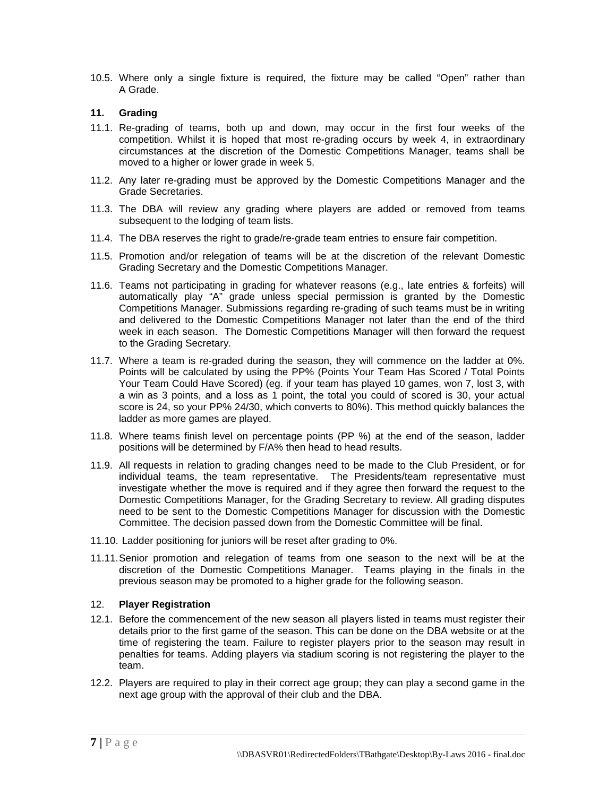10.5. Where only a single fixture is required, the fixture may be called "Open" rather than A Grade.

# <span id="page-8-0"></span>**11. Grading**

- 11.1. Re-grading of teams, both up and down, may occur in the first four weeks of the competition. Whilst it is hoped that most re-grading occurs by week 4, in extraordinary circumstances at the discretion of the Domestic Competitions Manager, teams shall be moved to a higher or lower grade in week 5.
- 11.2. Any later re-grading must be approved by the Domestic Competitions Manager and the Grade Secretaries.
- 11.3. The DBA will review any grading where players are added or removed from teams subsequent to the lodging of team lists.
- 11.4. The DBA reserves the right to grade/re-grade team entries to ensure fair competition.
- 11.5. Promotion and/or relegation of teams will be at the discretion of the relevant Domestic Grading Secretary and the Domestic Competitions Manager.
- 11.6. Teams not participating in grading for whatever reasons (e.g., late entries & forfeits) will automatically play "A" grade unless special permission is granted by the Domestic Competitions Manager. Submissions regarding re-grading of such teams must be in writing and delivered to the Domestic Competitions Manager not later than the end of the third week in each season. The Domestic Competitions Manager will then forward the request to the Grading Secretary.
- 11.7. Where a team is re-graded during the season, they will commence on the ladder at 0%. Points will be calculated by using the PP% (Points Your Team Has Scored / Total Points Your Team Could Have Scored) (eg. if your team has played 10 games, won 7, lost 3, with a win as 3 points, and a loss as 1 point, the total you could of scored is 30, your actual score is 24, so your PP% 24/30, which converts to 80%). This method quickly balances the ladder as more games are played.
- 11.8. Where teams finish level on percentage points (PP %) at the end of the season, ladder positions will be determined by F/A% then head to head results.
- 11.9. All requests in relation to grading changes need to be made to the Club President, or for individual teams, the team representative. The Presidents/team representative must investigate whether the move is required and if they agree then forward the request to the Domestic Competitions Manager, for the Grading Secretary to review. All grading disputes need to be sent to the Domestic Competitions Manager for discussion with the Domestic Committee. The decision passed down from the Domestic Committee will be final.
- 11.10. Ladder positioning for juniors will be reset after grading to 0%.
- 11.11.Senior promotion and relegation of teams from one season to the next will be at the discretion of the Domestic Competitions Manager. Teams playing in the finals in the previous season may be promoted to a higher grade for the following season.

# <span id="page-8-1"></span>12. **Player Registration**

- 12.1. Before the commencement of the new season all players listed in teams must register their details prior to the first game of the season. This can be done on the DBA website or at the time of registering the team. Failure to register players prior to the season may result in penalties for teams. Adding players via stadium scoring is not registering the player to the team.
- 12.2. Players are required to play in their correct age group; they can play a second game in the next age group with the approval of their club and the DBA.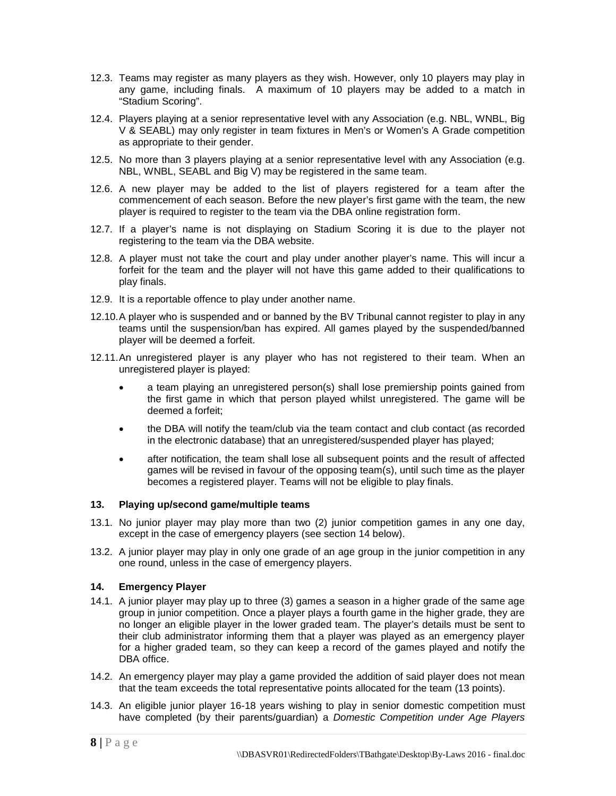- 12.3. Teams may register as many players as they wish. However, only 10 players may play in any game, including finals. A maximum of 10 players may be added to a match in "Stadium Scoring".
- 12.4. Players playing at a senior representative level with any Association (e.g. NBL, WNBL, Big V & SEABL) may only register in team fixtures in Men's or Women's A Grade competition as appropriate to their gender.
- 12.5. No more than 3 players playing at a senior representative level with any Association (e.g. NBL, WNBL, SEABL and Big V) may be registered in the same team.
- 12.6. A new player may be added to the list of players registered for a team after the commencement of each season. Before the new player's first game with the team, the new player is required to register to the team via the DBA online registration form.
- 12.7. If a player's name is not displaying on Stadium Scoring it is due to the player not registering to the team via the DBA website.
- 12.8. A player must not take the court and play under another player's name. This will incur a forfeit for the team and the player will not have this game added to their qualifications to play finals.
- 12.9. It is a reportable offence to play under another name.
- 12.10.A player who is suspended and or banned by the BV Tribunal cannot register to play in any teams until the suspension/ban has expired. All games played by the suspended/banned player will be deemed a forfeit.
- 12.11.An unregistered player is any player who has not registered to their team. When an unregistered player is played:
	- a team playing an unregistered person(s) shall lose premiership points gained from the first game in which that person played whilst unregistered. The game will be deemed a forfeit;
	- the DBA will notify the team/club via the team contact and club contact (as recorded in the electronic database) that an unregistered/suspended player has played;
	- after notification, the team shall lose all subsequent points and the result of affected games will be revised in favour of the opposing team(s), until such time as the player becomes a registered player. Teams will not be eligible to play finals.

# **13. Playing up/second game/multiple teams**

- 13.1. No junior player may play more than two (2) junior competition games in any one day, except in the case of emergency players (see section [14](#page-9-0) below).
- 13.2. A junior player may play in only one grade of an age group in the junior competition in any one round, unless in the case of emergency players.

# <span id="page-9-0"></span>**14. Emergency Player**

- 14.1. A junior player may play up to three (3) games a season in a higher grade of the same age group in junior competition. Once a player plays a fourth game in the higher grade, they are no longer an eligible player in the lower graded team. The player's details must be sent to their club administrator informing them that a player was played as an emergency player for a higher graded team, so they can keep a record of the games played and notify the DBA office.
- 14.2. An emergency player may play a game provided the addition of said player does not mean that the team exceeds the total representative points allocated for the team (13 points).
- 14.3. An eligible junior player 16-18 years wishing to play in senior domestic competition must have completed (by their parents/guardian) a *Domestic Competition under Age Players*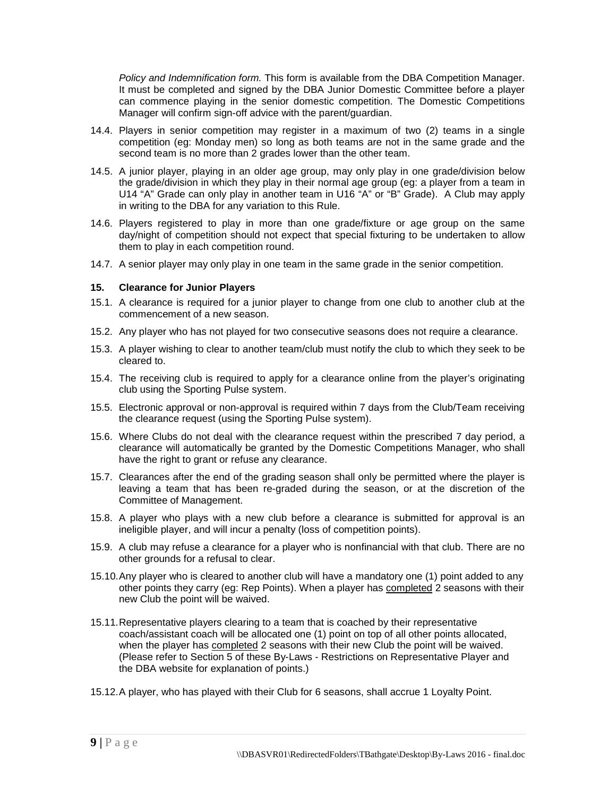*Policy and Indemnification form.* This form is available from the DBA Competition Manager. It must be completed and signed by the DBA Junior Domestic Committee before a player can commence playing in the senior domestic competition. The Domestic Competitions Manager will confirm sign-off advice with the parent/guardian.

- 14.4. Players in senior competition may register in a maximum of two (2) teams in a single competition (eg: Monday men) so long as both teams are not in the same grade and the second team is no more than 2 grades lower than the other team.
- 14.5. A junior player, playing in an older age group, may only play in one grade/division below the grade/division in which they play in their normal age group (eg: a player from a team in U14 "A" Grade can only play in another team in U16 "A" or "B" Grade). A Club may apply in writing to the DBA for any variation to this Rule.
- 14.6. Players registered to play in more than one grade/fixture or age group on the same day/night of competition should not expect that special fixturing to be undertaken to allow them to play in each competition round.
- 14.7. A senior player may only play in one team in the same grade in the senior competition.

#### <span id="page-10-0"></span>**15. Clearance for Junior Players**

- 15.1. A clearance is required for a junior player to change from one club to another club at the commencement of a new season.
- 15.2. Any player who has not played for two consecutive seasons does not require a clearance.
- 15.3. A player wishing to clear to another team/club must notify the club to which they seek to be cleared to.
- 15.4. The receiving club is required to apply for a clearance online from the player's originating club using the Sporting Pulse system.
- 15.5. Electronic approval or non-approval is required within 7 days from the Club/Team receiving the clearance request (using the Sporting Pulse system).
- 15.6. Where Clubs do not deal with the clearance request within the prescribed 7 day period, a clearance will automatically be granted by the Domestic Competitions Manager, who shall have the right to grant or refuse any clearance.
- 15.7. Clearances after the end of the grading season shall only be permitted where the player is leaving a team that has been re-graded during the season, or at the discretion of the Committee of Management.
- 15.8. A player who plays with a new club before a clearance is submitted for approval is an ineligible player, and will incur a penalty (loss of competition points).
- 15.9. A club may refuse a clearance for a player who is nonfinancial with that club. There are no other grounds for a refusal to clear.
- 15.10.Any player who is cleared to another club will have a mandatory one (1) point added to any other points they carry (eg: Rep Points). When a player has completed 2 seasons with their new Club the point will be waived.
- 15.11.Representative players clearing to a team that is coached by their representative coach/assistant coach will be allocated one (1) point on top of all other points allocated, when the player has completed 2 seasons with their new Club the point will be waived. (Please refer to Section [5](#page-4-0) of these By-Laws - Restrictions on Representative Player and the DBA website for explanation of points.)
- 15.12.A player, who has played with their Club for 6 seasons, shall accrue 1 Loyalty Point.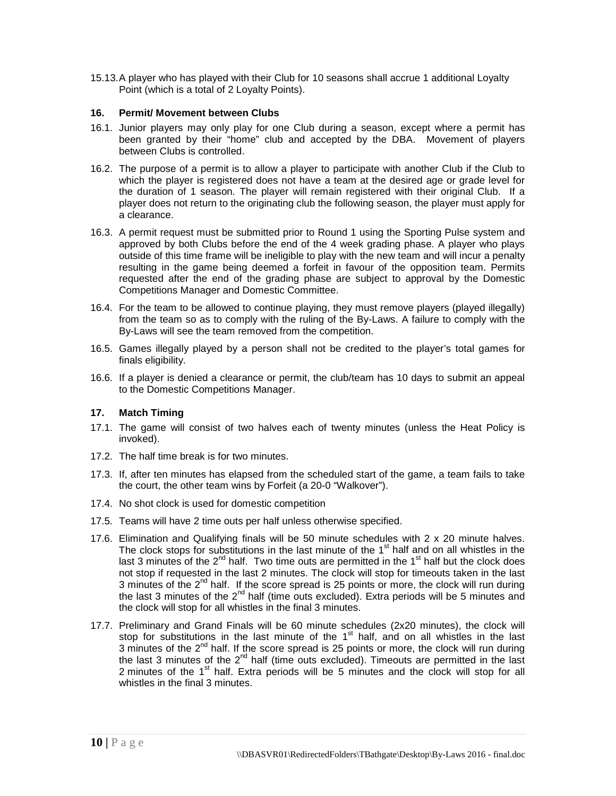15.13.A player who has played with their Club for 10 seasons shall accrue 1 additional Loyalty Point (which is a total of 2 Loyalty Points).

# <span id="page-11-0"></span>**16. Permit/ Movement between Clubs**

- 16.1. Junior players may only play for one Club during a season, except where a permit has been granted by their "home" club and accepted by the DBA. Movement of players between Clubs is controlled.
- 16.2. The purpose of a permit is to allow a player to participate with another Club if the Club to which the player is registered does not have a team at the desired age or grade level for the duration of 1 season. The player will remain registered with their original Club. If a player does not return to the originating club the following season, the player must apply for a clearance.
- 16.3. A permit request must be submitted prior to Round 1 using the Sporting Pulse system and approved by both Clubs before the end of the 4 week grading phase. A player who plays outside of this time frame will be ineligible to play with the new team and will incur a penalty resulting in the game being deemed a forfeit in favour of the opposition team. Permits requested after the end of the grading phase are subject to approval by the Domestic Competitions Manager and Domestic Committee.
- 16.4. For the team to be allowed to continue playing, they must remove players (played illegally) from the team so as to comply with the ruling of the By-Laws. A failure to comply with the By-Laws will see the team removed from the competition.
- 16.5. Games illegally played by a person shall not be credited to the player's total games for finals eligibility.
- 16.6. If a player is denied a clearance or permit, the club/team has 10 days to submit an appeal to the Domestic Competitions Manager.

# <span id="page-11-1"></span>**17. Match Timing**

- 17.1. The game will consist of two halves each of twenty minutes (unless the Heat Policy is invoked).
- 17.2. The half time break is for two minutes.
- 17.3. If, after ten minutes has elapsed from the scheduled start of the game, a team fails to take the court, the other team wins by Forfeit (a 20-0 "Walkover").
- 17.4. No shot clock is used for domestic competition
- 17.5. Teams will have 2 time outs per half unless otherwise specified.
- 17.6. Elimination and Qualifying finals will be 50 minute schedules with 2 x 20 minute halves. The clock stops for substitutions in the last minute of the  $1<sup>st</sup>$  half and on all whistles in the last 3 minutes of the  $2^{nd}$  half. Two time outs are permitted in the  $1<sup>st</sup>$  half but the clock does not stop if requested in the last 2 minutes. The clock will stop for timeouts taken in the last 3 minutes of the  $2^{nd}$  half. If the score spread is 25 points or more, the clock will run during the last 3 minutes of the  $2^{nd}$  half (time outs excluded). Extra periods will be 5 minutes and the clock will stop for all whistles in the final 3 minutes.
- 17.7. Preliminary and Grand Finals will be 60 minute schedules (2x20 minutes), the clock will stop for substitutions in the last minute of the  $1<sup>st</sup>$  half, and on all whistles in the last 3 minutes of the  $2^{nd}$  half. If the score spread is 25 points or more, the clock will run during the last 3 minutes of the  $2^{nd}$  half (time outs excluded). Timeouts are permitted in the last 2 minutes of the 1<sup>st</sup> half. Extra periods will be 5 minutes and the clock will stop for all whistles in the final 3 minutes.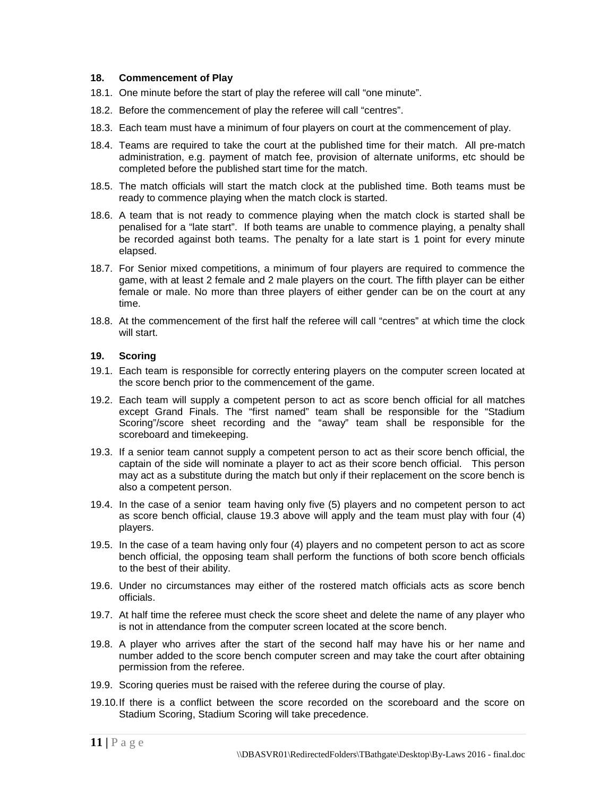#### <span id="page-12-0"></span>**18. Commencement of Play**

- 18.1. One minute before the start of play the referee will call "one minute".
- 18.2. Before the commencement of play the referee will call "centres".
- 18.3. Each team must have a minimum of four players on court at the commencement of play.
- 18.4. Teams are required to take the court at the published time for their match. All pre-match administration, e.g. payment of match fee, provision of alternate uniforms, etc should be completed before the published start time for the match.
- 18.5. The match officials will start the match clock at the published time. Both teams must be ready to commence playing when the match clock is started.
- 18.6. A team that is not ready to commence playing when the match clock is started shall be penalised for a "late start". If both teams are unable to commence playing, a penalty shall be recorded against both teams. The penalty for a late start is 1 point for every minute elapsed.
- 18.7. For Senior mixed competitions, a minimum of four players are required to commence the game, with at least 2 female and 2 male players on the court. The fifth player can be either female or male. No more than three players of either gender can be on the court at any time.
- 18.8. At the commencement of the first half the referee will call "centres" at which time the clock will start.

## <span id="page-12-1"></span>**19. Scoring**

- 19.1. Each team is responsible for correctly entering players on the computer screen located at the score bench prior to the commencement of the game.
- 19.2. Each team will supply a competent person to act as score bench official for all matches except Grand Finals. The "first named" team shall be responsible for the "Stadium Scoring"/score sheet recording and the "away" team shall be responsible for the scoreboard and timekeeping.
- <span id="page-12-2"></span>19.3. If a senior team cannot supply a competent person to act as their score bench official, the captain of the side will nominate a player to act as their score bench official. This person may act as a substitute during the match but only if their replacement on the score bench is also a competent person.
- 19.4. In the case of a senior team having only five (5) players and no competent person to act as score bench official, clause [19.3](#page-12-2) above will apply and the team must play with four (4) players.
- 19.5. In the case of a team having only four (4) players and no competent person to act as score bench official, the opposing team shall perform the functions of both score bench officials to the best of their ability.
- 19.6. Under no circumstances may either of the rostered match officials acts as score bench officials.
- 19.7. At half time the referee must check the score sheet and delete the name of any player who is not in attendance from the computer screen located at the score bench.
- 19.8. A player who arrives after the start of the second half may have his or her name and number added to the score bench computer screen and may take the court after obtaining permission from the referee.
- 19.9. Scoring queries must be raised with the referee during the course of play.
- 19.10.If there is a conflict between the score recorded on the scoreboard and the score on Stadium Scoring, Stadium Scoring will take precedence.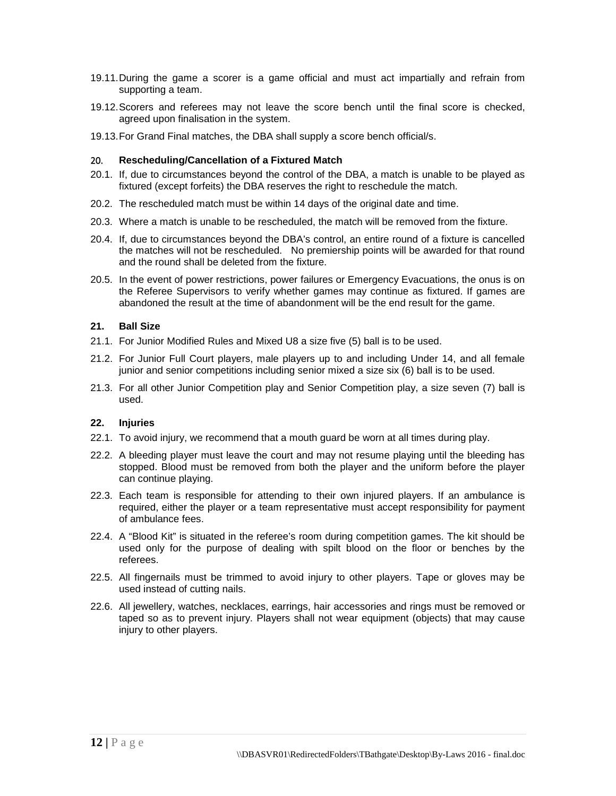- 19.11.During the game a scorer is a game official and must act impartially and refrain from supporting a team.
- 19.12.Scorers and referees may not leave the score bench until the final score is checked, agreed upon finalisation in the system.
- 19.13.For Grand Final matches, the DBA shall supply a score bench official/s.

#### <span id="page-13-0"></span>20. **Rescheduling/Cancellation of a Fixtured Match**

- 20.1. If, due to circumstances beyond the control of the DBA, a match is unable to be played as fixtured (except forfeits) the DBA reserves the right to reschedule the match.
- 20.2. The rescheduled match must be within 14 days of the original date and time.
- 20.3. Where a match is unable to be rescheduled, the match will be removed from the fixture.
- 20.4. If, due to circumstances beyond the DBA's control, an entire round of a fixture is cancelled the matches will not be rescheduled. No premiership points will be awarded for that round and the round shall be deleted from the fixture.
- 20.5. In the event of power restrictions, power failures or Emergency Evacuations, the onus is on the Referee Supervisors to verify whether games may continue as fixtured. If games are abandoned the result at the time of abandonment will be the end result for the game.

#### <span id="page-13-1"></span>**21. Ball Size**

- 21.1. For Junior Modified Rules and Mixed U8 a size five (5) ball is to be used.
- 21.2. For Junior Full Court players, male players up to and including Under 14, and all female junior and senior competitions including senior mixed a size six (6) ball is to be used.
- 21.3. For all other Junior Competition play and Senior Competition play, a size seven (7) ball is used.

#### <span id="page-13-2"></span>**22. Injuries**

- 22.1. To avoid injury, we recommend that a mouth guard be worn at all times during play.
- 22.2. A bleeding player must leave the court and may not resume playing until the bleeding has stopped. Blood must be removed from both the player and the uniform before the player can continue playing.
- 22.3. Each team is responsible for attending to their own injured players. If an ambulance is required, either the player or a team representative must accept responsibility for payment of ambulance fees.
- 22.4. A "Blood Kit" is situated in the referee's room during competition games. The kit should be used only for the purpose of dealing with spilt blood on the floor or benches by the referees.
- 22.5. All fingernails must be trimmed to avoid injury to other players. Tape or gloves may be used instead of cutting nails.
- 22.6. All jewellery, watches, necklaces, earrings, hair accessories and rings must be removed or taped so as to prevent injury. Players shall not wear equipment (objects) that may cause injury to other players.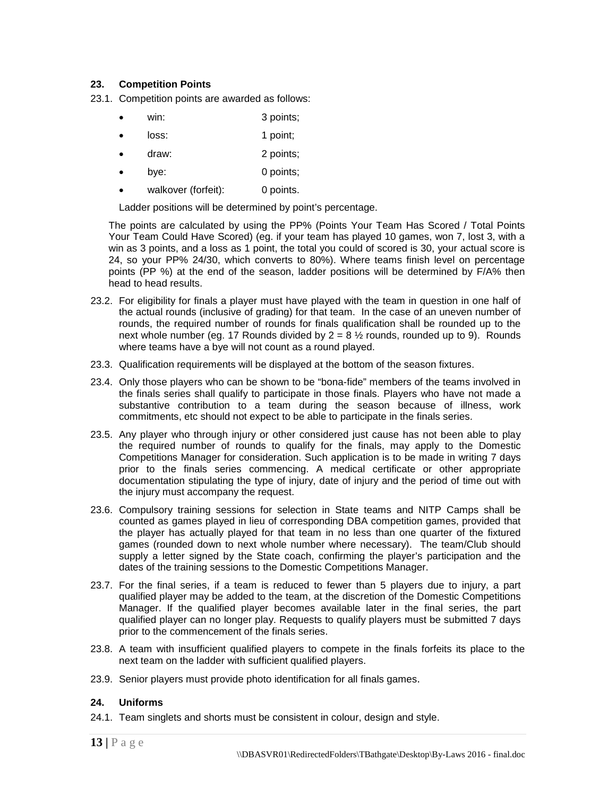# <span id="page-14-0"></span>**23. Competition Points**

23.1. Competition points are awarded as follows:

- win: 3 points;
- loss: 1 point;
- draw: 2 points;
- bye: 0 points;
- walkover (forfeit): 0 points.

Ladder positions will be determined by point's percentage.

The points are calculated by using the PP% (Points Your Team Has Scored / Total Points Your Team Could Have Scored) (eg. if your team has played 10 games, won 7, lost 3, with a win as 3 points, and a loss as 1 point, the total you could of scored is 30, your actual score is 24, so your PP% 24/30, which converts to 80%). Where teams finish level on percentage points (PP %) at the end of the season, ladder positions will be determined by F/A% then head to head results.

- 23.2. For eligibility for finals a player must have played with the team in question in one half of the actual rounds (inclusive of grading) for that team. In the case of an uneven number of rounds, the required number of rounds for finals qualification shall be rounded up to the next whole number (eg. 17 Rounds divided by  $2 = 8 \frac{1}{2}$  rounds, rounded up to 9). Rounds where teams have a bye will not count as a round played.
- 23.3. Qualification requirements will be displayed at the bottom of the season fixtures.
- 23.4. Only those players who can be shown to be "bona-fide" members of the teams involved in the finals series shall qualify to participate in those finals. Players who have not made a substantive contribution to a team during the season because of illness, work commitments, etc should not expect to be able to participate in the finals series.
- 23.5. Any player who through injury or other considered just cause has not been able to play the required number of rounds to qualify for the finals, may apply to the Domestic Competitions Manager for consideration. Such application is to be made in writing 7 days prior to the finals series commencing. A medical certificate or other appropriate documentation stipulating the type of injury, date of injury and the period of time out with the injury must accompany the request.
- 23.6. Compulsory training sessions for selection in State teams and NITP Camps shall be counted as games played in lieu of corresponding DBA competition games, provided that the player has actually played for that team in no less than one quarter of the fixtured games (rounded down to next whole number where necessary). The team/Club should supply a letter signed by the State coach, confirming the player's participation and the dates of the training sessions to the Domestic Competitions Manager.
- 23.7. For the final series, if a team is reduced to fewer than 5 players due to injury, a part qualified player may be added to the team, at the discretion of the Domestic Competitions Manager. If the qualified player becomes available later in the final series, the part qualified player can no longer play. Requests to qualify players must be submitted 7 days prior to the commencement of the finals series.
- 23.8. A team with insufficient qualified players to compete in the finals forfeits its place to the next team on the ladder with sufficient qualified players.
- 23.9. Senior players must provide photo identification for all finals games.

#### <span id="page-14-1"></span>**24. Uniforms**

24.1. Team singlets and shorts must be consistent in colour, design and style.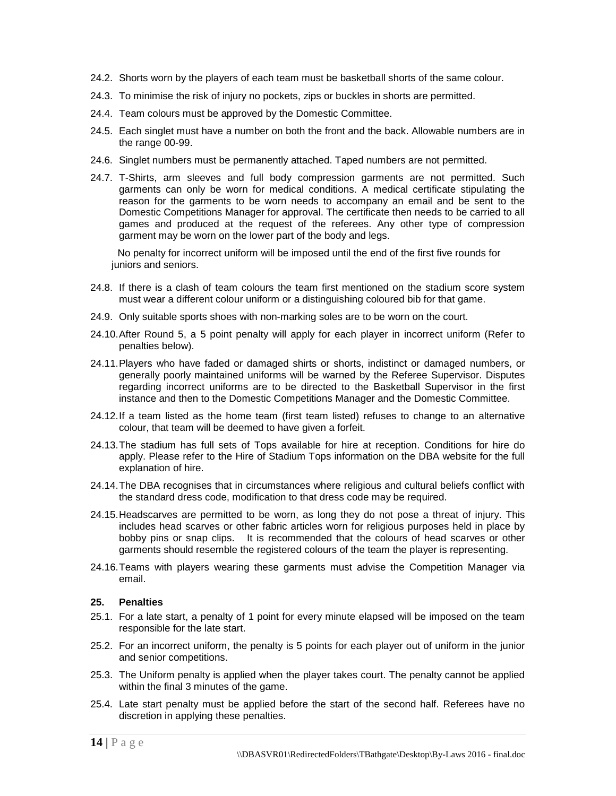- 24.2. Shorts worn by the players of each team must be basketball shorts of the same colour.
- 24.3. To minimise the risk of injury no pockets, zips or buckles in shorts are permitted.
- 24.4. Team colours must be approved by the Domestic Committee.
- 24.5. Each singlet must have a number on both the front and the back. Allowable numbers are in the range 00-99.
- 24.6. Singlet numbers must be permanently attached. Taped numbers are not permitted.
- 24.7. T-Shirts, arm sleeves and full body compression garments are not permitted. Such garments can only be worn for medical conditions. A medical certificate stipulating the reason for the garments to be worn needs to accompany an email and be sent to the Domestic Competitions Manager for approval. The certificate then needs to be carried to all games and produced at the request of the referees. Any other type of compression garment may be worn on the lower part of the body and legs.

No penalty for incorrect uniform will be imposed until the end of the first five rounds for juniors and seniors.

- 24.8. If there is a clash of team colours the team first mentioned on the stadium score system must wear a different colour uniform or a distinguishing coloured bib for that game.
- 24.9. Only suitable sports shoes with non-marking soles are to be worn on the court.
- 24.10.After Round 5, a 5 point penalty will apply for each player in incorrect uniform (Refer to penalties below).
- 24.11.Players who have faded or damaged shirts or shorts, indistinct or damaged numbers, or generally poorly maintained uniforms will be warned by the Referee Supervisor. Disputes regarding incorrect uniforms are to be directed to the Basketball Supervisor in the first instance and then to the Domestic Competitions Manager and the Domestic Committee.
- 24.12.If a team listed as the home team (first team listed) refuses to change to an alternative colour, that team will be deemed to have given a forfeit.
- 24.13.The stadium has full sets of Tops available for hire at reception. Conditions for hire do apply. Please refer to the Hire of Stadium Tops information on the DBA website for the full explanation of hire.
- 24.14.The DBA recognises that in circumstances where religious and cultural beliefs conflict with the standard dress code, modification to that dress code may be required.
- 24.15.Headscarves are permitted to be worn, as long they do not pose a threat of injury. This includes head scarves or other fabric articles worn for religious purposes held in place by bobby pins or snap clips. It is recommended that the colours of head scarves or other garments should resemble the registered colours of the team the player is representing.
- 24.16.Teams with players wearing these garments must advise the Competition Manager via email.

# <span id="page-15-0"></span>**25. Penalties**

- 25.1. For a late start, a penalty of 1 point for every minute elapsed will be imposed on the team responsible for the late start.
- 25.2. For an incorrect uniform, the penalty is 5 points for each player out of uniform in the junior and senior competitions.
- 25.3. The Uniform penalty is applied when the player takes court. The penalty cannot be applied within the final 3 minutes of the game.
- 25.4. Late start penalty must be applied before the start of the second half. Referees have no discretion in applying these penalties.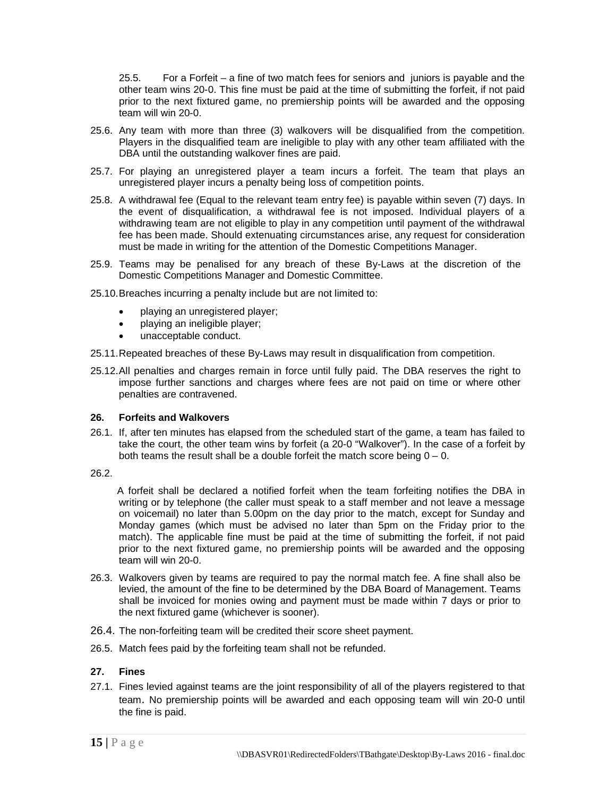25.5. For a Forfeit – a fine of two match fees for seniors and juniors is payable and the other team wins 20-0. This fine must be paid at the time of submitting the forfeit, if not paid prior to the next fixtured game, no premiership points will be awarded and the opposing team will win 20-0.

- 25.6. Any team with more than three (3) walkovers will be disqualified from the competition. Players in the disqualified team are ineligible to play with any other team affiliated with the DBA until the outstanding walkover fines are paid.
- 25.7. For playing an unregistered player a team incurs a forfeit. The team that plays an unregistered player incurs a penalty being loss of competition points.
- 25.8. A withdrawal fee (Equal to the relevant team entry fee) is payable within seven (7) days. In the event of disqualification, a withdrawal fee is not imposed. Individual players of a withdrawing team are not eligible to play in any competition until payment of the withdrawal fee has been made. Should extenuating circumstances arise, any request for consideration must be made in writing for the attention of the Domestic Competitions Manager.
- 25.9. Teams may be penalised for any breach of these By-Laws at the discretion of the Domestic Competitions Manager and Domestic Committee.
- 25.10.Breaches incurring a penalty include but are not limited to:
	- playing an unregistered player;
	- playing an ineligible player;
	- unacceptable conduct.
- 25.11.Repeated breaches of these By-Laws may result in disqualification from competition.
- 25.12.All penalties and charges remain in force until fully paid. The DBA reserves the right to impose further sanctions and charges where fees are not paid on time or where other penalties are contravened.

# <span id="page-16-0"></span>**26. Forfeits and Walkovers**

- 26.1. If, after ten minutes has elapsed from the scheduled start of the game, a team has failed to take the court, the other team wins by forfeit (a 20-0 "Walkover"). In the case of a forfeit by both teams the result shall be a double forfeit the match score being  $0 - 0$ .
- 26.2.

 A forfeit shall be declared a notified forfeit when the team forfeiting notifies the DBA in writing or by telephone (the caller must speak to a staff member and not leave a message on voicemail) no later than 5.00pm on the day prior to the match, except for Sunday and Monday games (which must be advised no later than 5pm on the Friday prior to the match). The applicable fine must be paid at the time of submitting the forfeit, if not paid prior to the next fixtured game, no premiership points will be awarded and the opposing team will win 20-0.

- 26.3. Walkovers given by teams are required to pay the normal match fee. A fine shall also be levied, the amount of the fine to be determined by the DBA Board of Management. Teams shall be invoiced for monies owing and payment must be made within 7 days or prior to the next fixtured game (whichever is sooner).
- 26.4. The non-forfeiting team will be credited their score sheet payment.
- 26.5. Match fees paid by the forfeiting team shall not be refunded.

# <span id="page-16-1"></span>**27. Fines**

27.1. Fines levied against teams are the joint responsibility of all of the players registered to that team. No premiership points will be awarded and each opposing team will win 20-0 until the fine is paid.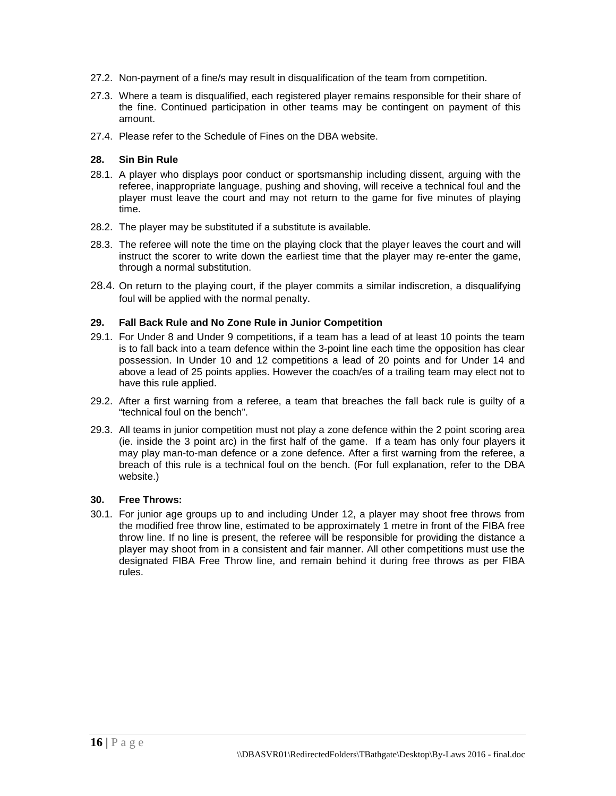- 27.2. Non-payment of a fine/s may result in disqualification of the team from competition.
- 27.3. Where a team is disqualified, each registered player remains responsible for their share of the fine. Continued participation in other teams may be contingent on payment of this amount.
- 27.4. Please refer to the Schedule of Fines on the DBA website.

# <span id="page-17-0"></span>**28. Sin Bin Rule**

- 28.1. A player who displays poor conduct or sportsmanship including dissent, arguing with the referee, inappropriate language, pushing and shoving, will receive a technical foul and the player must leave the court and may not return to the game for five minutes of playing time.
- 28.2. The player may be substituted if a substitute is available.
- 28.3. The referee will note the time on the playing clock that the player leaves the court and will instruct the scorer to write down the earliest time that the player may re-enter the game, through a normal substitution.
- 28.4. On return to the playing court, if the player commits a similar indiscretion, a disqualifying foul will be applied with the normal penalty.

# <span id="page-17-1"></span>**29. Fall Back Rule and No Zone Rule in Junior Competition**

- 29.1. For Under 8 and Under 9 competitions, if a team has a lead of at least 10 points the team is to fall back into a team defence within the 3-point line each time the opposition has clear possession. In Under 10 and 12 competitions a lead of 20 points and for Under 14 and above a lead of 25 points applies. However the coach/es of a trailing team may elect not to have this rule applied.
- 29.2. After a first warning from a referee, a team that breaches the fall back rule is guilty of a "technical foul on the bench".
- 29.3. All teams in junior competition must not play a zone defence within the 2 point scoring area (ie. inside the 3 point arc) in the first half of the game. If a team has only four players it may play man-to-man defence or a zone defence. After a first warning from the referee, a breach of this rule is a technical foul on the bench. (For full explanation, refer to the DBA website.)

# <span id="page-17-2"></span>**30. Free Throws:**

30.1. For junior age groups up to and including Under 12, a player may shoot free throws from the modified free throw line, estimated to be approximately 1 metre in front of the FIBA free throw line. If no line is present, the referee will be responsible for providing the distance a player may shoot from in a consistent and fair manner. All other competitions must use the designated FIBA Free Throw line, and remain behind it during free throws as per FIBA rules.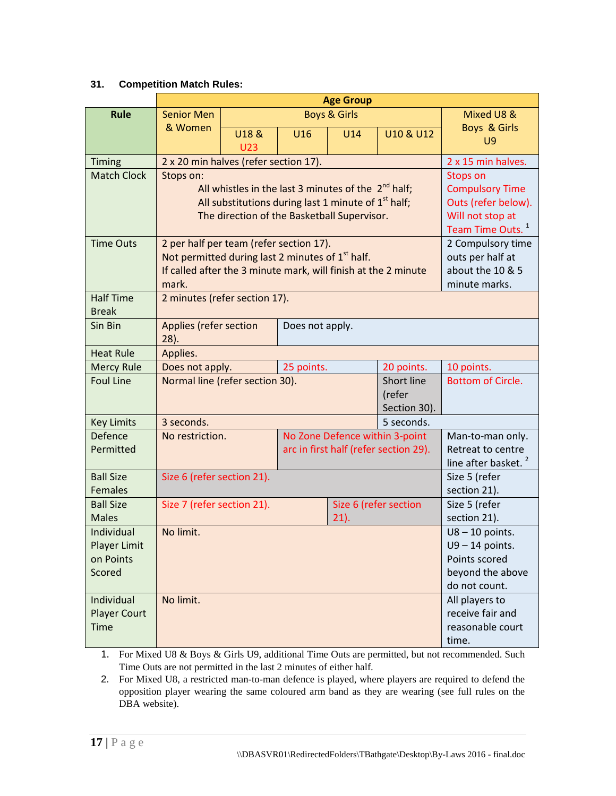# <span id="page-18-0"></span>**31. Competition Match Rules:**

|                                  | <b>Age Group</b>                                                                                                               |                                                     |                                |                                 |                                       |                               |  |  |
|----------------------------------|--------------------------------------------------------------------------------------------------------------------------------|-----------------------------------------------------|--------------------------------|---------------------------------|---------------------------------------|-------------------------------|--|--|
| <b>Rule</b>                      | <b>Senior Men</b><br><b>Boys &amp; Girls</b>                                                                                   |                                                     |                                |                                 | Mixed U8 &                            |                               |  |  |
|                                  | & Women                                                                                                                        | U18 &                                               | U <sub>16</sub>                | U14                             | U10 & U12                             | Boys & Girls                  |  |  |
|                                  |                                                                                                                                | <b>U23</b>                                          |                                |                                 |                                       | <b>U9</b>                     |  |  |
| Timing                           | 2 x 20 min halves (refer section 17).                                                                                          | 2 x 15 min halves.                                  |                                |                                 |                                       |                               |  |  |
| <b>Match Clock</b>               | Stops on:                                                                                                                      | <b>Stops on</b>                                     |                                |                                 |                                       |                               |  |  |
|                                  | All whistles in the last 3 minutes of the $2nd$ half;                                                                          | <b>Compulsory Time</b>                              |                                |                                 |                                       |                               |  |  |
|                                  | All substitutions during last 1 minute of $1st$ half;                                                                          | Outs (refer below).                                 |                                |                                 |                                       |                               |  |  |
|                                  | The direction of the Basketball Supervisor.                                                                                    | Will not stop at                                    |                                |                                 |                                       |                               |  |  |
|                                  |                                                                                                                                | Team Time Outs. <sup>1</sup>                        |                                |                                 |                                       |                               |  |  |
| <b>Time Outs</b>                 | 2 per half per team (refer section 17).                                                                                        | 2 Compulsory time                                   |                                |                                 |                                       |                               |  |  |
|                                  | Not permitted during last 2 minutes of 1 <sup>st</sup> half.<br>If called after the 3 minute mark, will finish at the 2 minute | outs per half at<br>about the 10 & 5                |                                |                                 |                                       |                               |  |  |
|                                  | mark.                                                                                                                          | minute marks.                                       |                                |                                 |                                       |                               |  |  |
| <b>Half Time</b>                 | 2 minutes (refer section 17).                                                                                                  |                                                     |                                |                                 |                                       |                               |  |  |
| <b>Break</b>                     |                                                                                                                                |                                                     |                                |                                 |                                       |                               |  |  |
| Sin Bin                          | <b>Applies (refer section</b>                                                                                                  |                                                     | Does not apply.                |                                 |                                       |                               |  |  |
| <b>Heat Rule</b>                 | $28$ ).<br>Applies.                                                                                                            |                                                     |                                |                                 |                                       |                               |  |  |
| <b>Mercy Rule</b>                | Does not apply.                                                                                                                |                                                     | 25 points.<br>20 points.       |                                 |                                       | 10 points.                    |  |  |
| <b>Foul Line</b>                 | Normal line (refer section 30).                                                                                                |                                                     |                                |                                 | Short line                            | <b>Bottom of Circle.</b>      |  |  |
|                                  | (refer                                                                                                                         |                                                     |                                |                                 |                                       |                               |  |  |
|                                  | Section 30).                                                                                                                   |                                                     |                                |                                 |                                       |                               |  |  |
| <b>Key Limits</b>                | 3 seconds.                                                                                                                     | 5 seconds.                                          |                                |                                 |                                       |                               |  |  |
| Defence                          | No restriction.                                                                                                                |                                                     | No Zone Defence within 3-point |                                 |                                       | Man-to-man only.              |  |  |
| Permitted                        |                                                                                                                                |                                                     |                                |                                 | arc in first half (refer section 29). | Retreat to centre             |  |  |
|                                  |                                                                                                                                |                                                     |                                | line after basket. <sup>2</sup> |                                       |                               |  |  |
| <b>Ball Size</b>                 | Size 6 (refer section 21).                                                                                                     | Size 5 (refer                                       |                                |                                 |                                       |                               |  |  |
| <b>Females</b>                   |                                                                                                                                | Size 7 (refer section 21).<br>Size 6 (refer section |                                |                                 |                                       | section 21).                  |  |  |
| <b>Ball Size</b><br><b>Males</b> |                                                                                                                                |                                                     |                                |                                 |                                       | Size 5 (refer<br>section 21). |  |  |
| Individual                       | No limit.                                                                                                                      |                                                     |                                | $21$ ).                         |                                       | $U8 - 10$ points.             |  |  |
| <b>Player Limit</b>              |                                                                                                                                | $U9 - 14$ points.                                   |                                |                                 |                                       |                               |  |  |
| on Points                        |                                                                                                                                | Points scored                                       |                                |                                 |                                       |                               |  |  |
| Scored                           |                                                                                                                                | beyond the above                                    |                                |                                 |                                       |                               |  |  |
|                                  |                                                                                                                                |                                                     |                                |                                 |                                       | do not count.                 |  |  |
| Individual                       | No limit.                                                                                                                      |                                                     |                                |                                 |                                       | All players to                |  |  |
| <b>Player Court</b>              |                                                                                                                                | receive fair and                                    |                                |                                 |                                       |                               |  |  |
| <b>Time</b>                      |                                                                                                                                | reasonable court                                    |                                |                                 |                                       |                               |  |  |
|                                  |                                                                                                                                |                                                     |                                |                                 |                                       | time.                         |  |  |

1. For Mixed U8 & Boys & Girls U9, additional Time Outs are permitted, but not recommended. Such Time Outs are not permitted in the last 2 minutes of either half.

2. For Mixed U8, a restricted man-to-man defence is played, where players are required to defend the opposition player wearing the same coloured arm band as they are wearing (see full rules on the DBA website).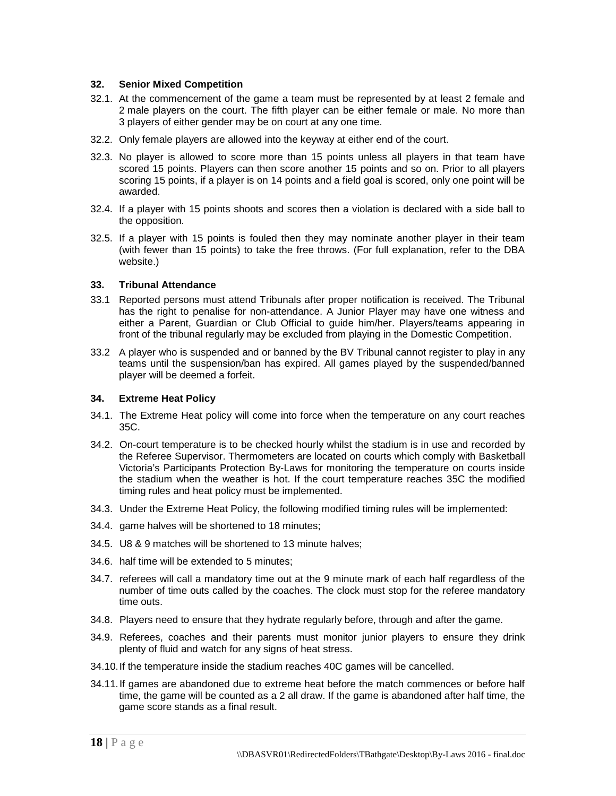#### <span id="page-19-0"></span>**32. Senior Mixed Competition**

- 32.1. At the commencement of the game a team must be represented by at least 2 female and 2 male players on the court. The fifth player can be either female or male. No more than 3 players of either gender may be on court at any one time.
- 32.2. Only female players are allowed into the keyway at either end of the court.
- 32.3. No player is allowed to score more than 15 points unless all players in that team have scored 15 points. Players can then score another 15 points and so on. Prior to all players scoring 15 points, if a player is on 14 points and a field goal is scored, only one point will be awarded.
- 32.4. If a player with 15 points shoots and scores then a violation is declared with a side ball to the opposition.
- 32.5. If a player with 15 points is fouled then they may nominate another player in their team (with fewer than 15 points) to take the free throws. (For full explanation, refer to the DBA website.)

#### <span id="page-19-1"></span>**33. Tribunal Attendance**

- 33.1 Reported persons must attend Tribunals after proper notification is received. The Tribunal has the right to penalise for non-attendance. A Junior Player may have one witness and either a Parent, Guardian or Club Official to guide him/her. Players/teams appearing in front of the tribunal regularly may be excluded from playing in the Domestic Competition.
- 33.2 A player who is suspended and or banned by the BV Tribunal cannot register to play in any teams until the suspension/ban has expired. All games played by the suspended/banned player will be deemed a forfeit.

#### <span id="page-19-2"></span>**34. Extreme Heat Policy**

- 34.1. The Extreme Heat policy will come into force when the temperature on any court reaches 35C.
- 34.2. On-court temperature is to be checked hourly whilst the stadium is in use and recorded by the Referee Supervisor. Thermometers are located on courts which comply with Basketball Victoria's Participants Protection By-Laws for monitoring the temperature on courts inside the stadium when the weather is hot. If the court temperature reaches 35C the modified timing rules and heat policy must be implemented.
- 34.3. Under the Extreme Heat Policy, the following modified timing rules will be implemented:
- 34.4. game halves will be shortened to 18 minutes;
- 34.5. U8 & 9 matches will be shortened to 13 minute halves;
- 34.6. half time will be extended to 5 minutes;
- 34.7. referees will call a mandatory time out at the 9 minute mark of each half regardless of the number of time outs called by the coaches. The clock must stop for the referee mandatory time outs.
- 34.8. Players need to ensure that they hydrate regularly before, through and after the game.
- 34.9. Referees, coaches and their parents must monitor junior players to ensure they drink plenty of fluid and watch for any signs of heat stress.
- 34.10.If the temperature inside the stadium reaches 40C games will be cancelled.
- 34.11.If games are abandoned due to extreme heat before the match commences or before half time, the game will be counted as a 2 all draw. If the game is abandoned after half time, the game score stands as a final result.